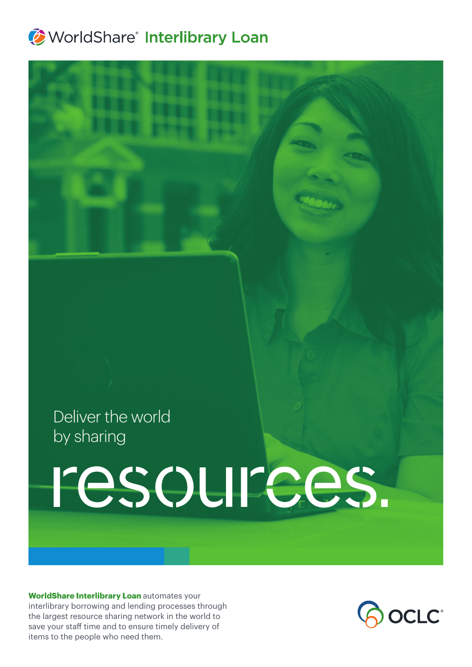## **WorldShare<sup>®</sup> Interlibrary Loan**

## Deliver the world by sharing

# resources.

**WorldShare Interlibrary Loan** automates your interlibrary borrowing and lending processes through the largest resource sharing network in the world to save your staff time and to ensure timely delivery of items to the people who need them.

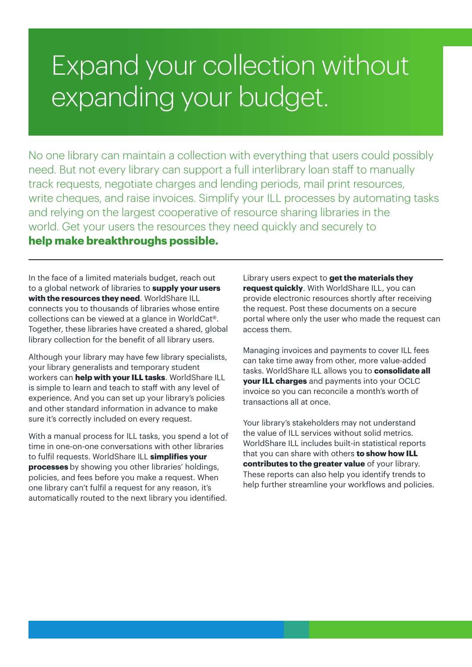# Expand your collection without expanding your budget.

No one library can maintain a collection with everything that users could possibly need. But not every library can support a full interlibrary loan staff to manually track requests, negotiate charges and lending periods, mail print resources, write cheques, and raise invoices. Simplify your ILL processes by automating tasks and relying on the largest cooperative of resource sharing libraries in the world. Get your users the resources they need quickly and securely to

**help make breakthroughs possible.**

In the face of a limited materials budget, reach out to a global network of libraries to **supply your users with the resources they need**. WorldShare ILL connects you to thousands of libraries whose entire collections can be viewed at a glance in WorldCat®. Together, these libraries have created a shared, global library collection for the benefit of all library users.

Although your library may have few library specialists, your library generalists and temporary student workers can **help with your ILL tasks**. WorldShare ILL is simple to learn and teach to staff with any level of experience. And you can set up your library's policies and other standard information in advance to make sure it's correctly included on every request.

With a manual process for ILL tasks, you spend a lot of time in one-on-one conversations with other libraries to fulfil requests. WorldShare ILL **simplifies your processes** by showing you other libraries' holdings, policies, and fees before you make a request. When one library can't fulfil a request for any reason, it's automatically routed to the next library you identified.

Library users expect to **get the materials they request quickly**. With WorldShare ILL, you can provide electronic resources shortly after receiving the request. Post these documents on a secure portal where only the user who made the request can access them.

Managing invoices and payments to cover ILL fees can take time away from other, more value-added tasks. WorldShare ILL allows you to **consolidate all your ILL charges** and payments into your OCLC invoice so you can reconcile a month's worth of transactions all at once.

Your library's stakeholders may not understand the value of ILL services without solid metrics. WorldShare ILL includes built-in statistical reports that you can share with others **to show how ILL contributes to the greater value** of your library. These reports can also help you identify trends to help further streamline your workflows and policies.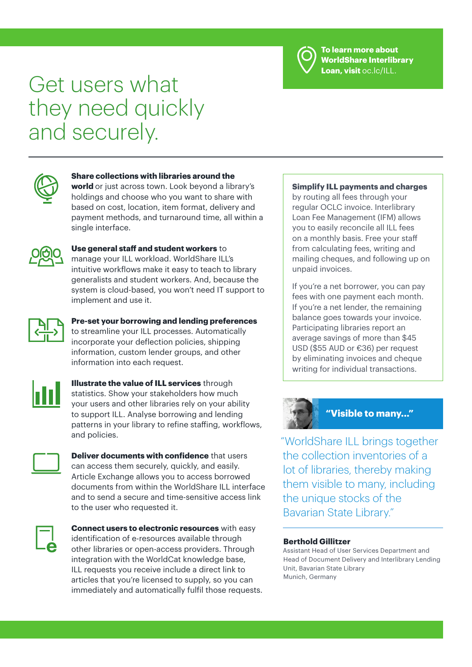

**To learn more about WorldShare Interlibrary Loan, visit** oc.lc/ILL.

# Get users what they need quickly and securely.



#### **Share collections with libraries around the**

**world** or just across town. Look beyond a library's holdings and choose who you want to share with based on cost, location, item format, delivery and payment methods, and turnaround time, all within a single interface.



#### **Use general staff and student workers** to manage your ILL workload. WorldShare ILL's intuitive workflows make it easy to teach to library generalists and student workers. And, because the system is cloud-based, you won't need IT support to implement and use it.



**Pre-set your borrowing and lending preferences** to streamline your ILL processes. Automatically incorporate your deflection policies, shipping information, custom lender groups, and other information into each request.



**Illustrate the value of ILL services** through statistics. Show your stakeholders how much your users and other libraries rely on your ability to support ILL. Analyse borrowing and lending patterns in your library to refine staffing, workflows, and policies.



**Deliver documents with confidence** that users can access them securely, quickly, and easily. Article Exchange allows you to access borrowed documents from within the WorldShare ILL interface and to send a secure and time-sensitive access link to the user who requested it.



**Connect users to electronic resources** with easy identification of e-resources available through other libraries or open-access providers. Through integration with the WorldCat knowledge base, ILL requests you receive include a direct link to articles that you're licensed to supply, so you can immediately and automatically fulfil those requests.

#### **Simplify ILL payments and charges**

by routing all fees through your regular OCLC invoice. Interlibrary Loan Fee Management (IFM) allows you to easily reconcile all ILL fees on a monthly basis. Free your staff from calculating fees, writing and mailing cheques, and following up on unpaid invoices.

If you're a net borrower, you can pay fees with one payment each month. If you're a net lender, the remaining balance goes towards your invoice. Participating libraries report an average savings of more than \$45 USD (\$55 AUD or €36) per request by eliminating invoices and cheque writing for individual transactions.



"WorldShare ILL brings together the collection inventories of a lot of libraries, thereby making them visible to many, including the unique stocks of the Bavarian State Library."

#### **Berthold Gillitzer**

Assistant Head of User Services Department and Head of Document Delivery and Interlibrary Lending Unit, Bavarian State Library Munich, Germany